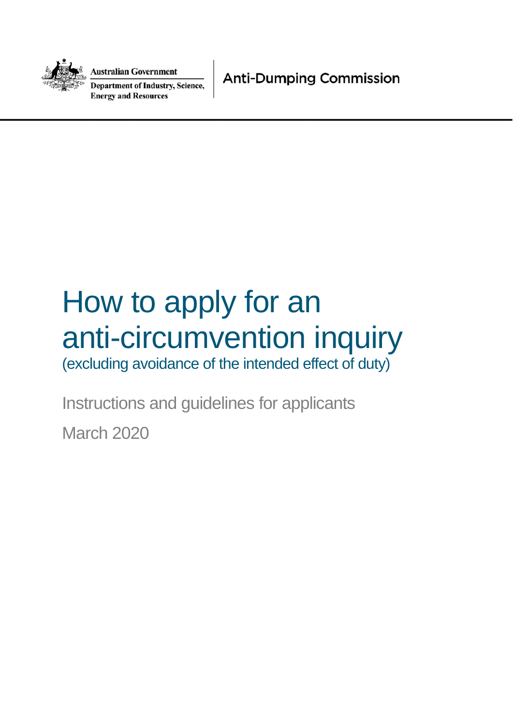

**Australian Government** 

**Department of Industry, Science, Energy and Resources** 

**Anti-Dumping Commission** 

# How to apply for an anti-circumvention inquiry

(excluding avoidance of the intended effect of duty)

Instructions and guidelines for applicants

March 2020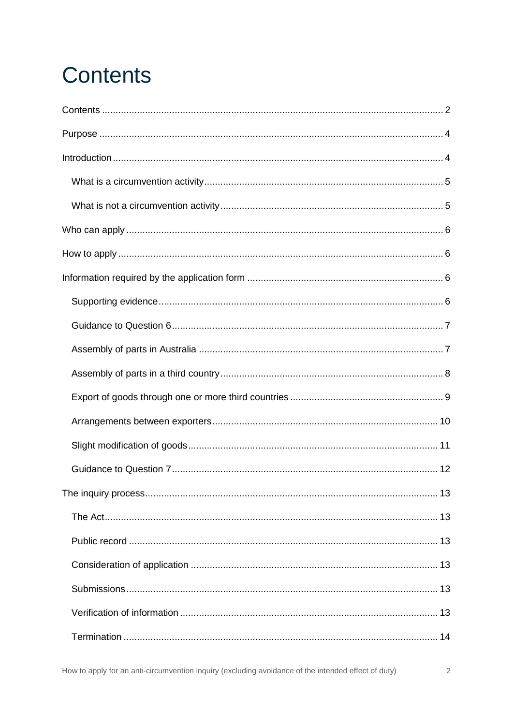# <span id="page-1-0"></span>**Contents**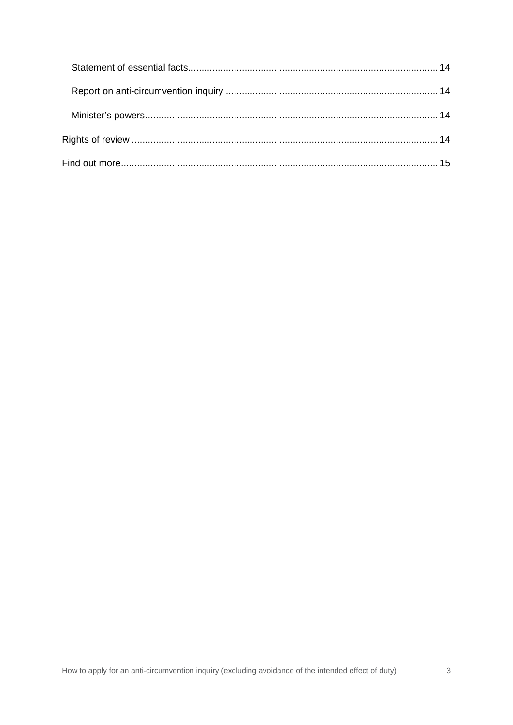<span id="page-2-0"></span>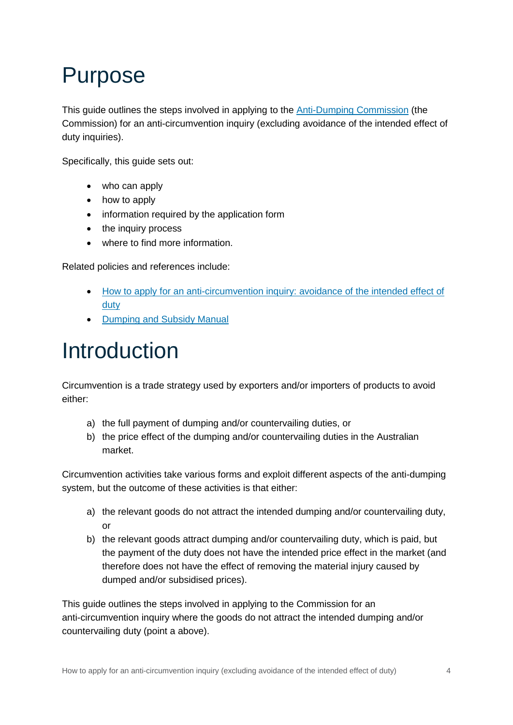### Purpose

This guide outlines the steps involved in applying to the [Anti-Dumping Commission](https://www.industry.gov.au/about-us/our-structure/anti-dumping-commission) (the Commission) for an anti-circumvention inquiry (excluding avoidance of the intended effect of duty inquiries).

Specifically, this guide sets out:

- who can apply
- how to apply
- information required by the application form
- the inquiry process
- where to find more information.

Related policies and references include:

- [How to apply for an anti-circumvention inquiry: avoidance of the intended effect of](https://www.industry.gov.au/regulations-and-standards/anti-dumping-and-countervailing-system/applying-for-an-anti-circumvention-inquiry)  duty
- [Dumping and Subsidy Manual](https://www.industry.gov.au/data-and-publications/dumping-and-subsidy-manual)

### <span id="page-3-0"></span>Introduction

Circumvention is a trade strategy used by exporters and/or importers of products to avoid either:

- a) the full payment of dumping and/or countervailing duties, or
- b) the price effect of the dumping and/or countervailing duties in the Australian market.

Circumvention activities take various forms and exploit different aspects of the anti-dumping system, but the outcome of these activities is that either:

- a) the relevant goods do not attract the intended dumping and/or countervailing duty, or
- b) the relevant goods attract dumping and/or countervailing duty, which is paid, but the payment of the duty does not have the intended price effect in the market (and therefore does not have the effect of removing the material injury caused by dumped and/or subsidised prices).

This guide outlines the steps involved in applying to the Commission for an anti-circumvention inquiry where the goods do not attract the intended dumping and/or countervailing duty (point a above).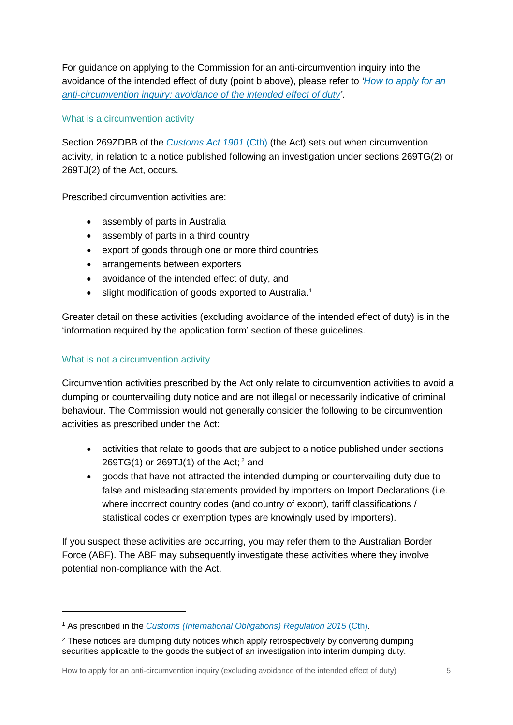For guidance on applying to the Commission for an anti-circumvention i[nquiry into the](https://www.industry.gov.au/regulations-and-standards/anti-dumping-and-countervailing-system/applying-for-an-anti-circumvention-inquiry)  [avoidance of the intended effect of duty \(point b above\), please refer to](https://www.industry.gov.au/regulations-and-standards/anti-dumping-and-countervailing-system/applying-for-an-anti-circumvention-inquiry) *'How to apply for an [anti-circumvention inquiry: avoidance of the intended effect of duty'](https://www.industry.gov.au/regulations-and-standards/anti-dumping-and-countervailing-system/applying-for-an-anti-circumvention-inquiry)*[.](https://www.industry.gov.au/regulations-and-standards/anti-dumping-and-countervailing-system/applying-for-an-anti-circumvention-inquiry) 

#### <span id="page-4-0"></span>What is a circumvention activity

Section 269ZDBB of the *[Customs Act 1901](https://www.legislation.gov.au/Details/C2019C00090/Html/Volume_3)* (Cth) (the Act) sets out when circumvention activity, in relation to a notice published following an investigation under sections 269TG(2) or 269TJ(2) of the Act, occurs.

Prescribed circumvention activities are:

- assembly of parts in Australia
- assembly of parts in a third country
- export of goods through one or more third countries
- arrangements between exporters
- avoidance of the intended effect of duty, and
- slight modification of goods exported to Australia.<sup>[1](#page-4-2)</sup>

Greater detail on these activities (excluding avoidance of the intended effect of duty) is in the 'information required by the application form' section of these guidelines.

#### <span id="page-4-1"></span>What is not a circumvention activity

Circumvention activities prescribed by the Act only relate to circumvention activities to avoid a dumping or countervailing duty notice and are not illegal or necessarily indicative of criminal behaviour. The Commission would not generally consider the following to be circumvention activities as prescribed under the Act:

- activities that relate to goods that [a](#page-4-3)re subject to a notice published under sections 269TG(1) or 269TJ(1) of the Act;  $2^2$  and
- goods that have not attracted the intended dumping or countervailing duty due to false and misleading statements provided by importers on Import Declarations (i.e. where incorrect country codes (and country of export), tariff classifications / statistical codes or exemption types are knowingly used by importers).

If you suspect these activities are occurring, you may refer them to the Australian Border Force (ABF). The ABF may subsequently investigate these activities where they involve potential non-compliance with the Act.

<span id="page-4-2"></span><sup>&</sup>lt;sup>1</sup> As prescribed in the *Customs (International Obligations) Regulation 2015 (Cth).* 

<span id="page-4-3"></span><sup>&</sup>lt;sup>2</sup> These notices are dumping duty notices which apply retrospectively by converting dumping securities applicable to the goods the subject of an investigation into interim dumping duty.

How to apply for an anti-circumvention inquiry (excluding avoidance of the intended effect of duty) 5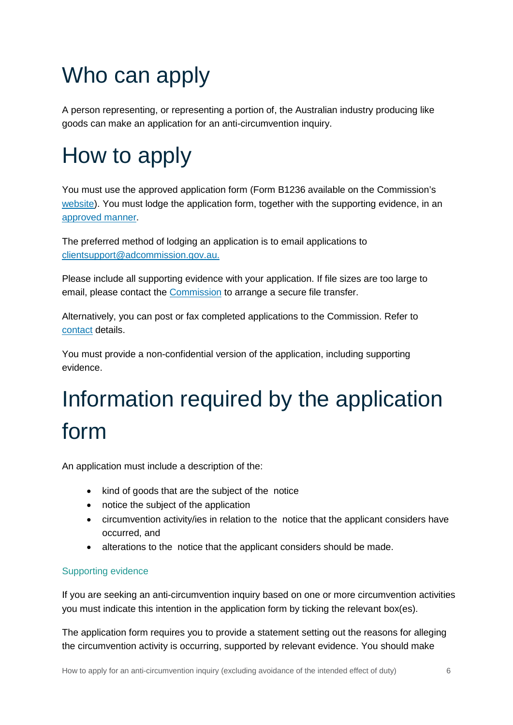# <span id="page-5-0"></span>Who can apply

A person representing, or representing a portion of, the Australian industry producing like goods can make an application for an anti-circumvention inquiry.

# <span id="page-5-1"></span>How to apply

[You mus](https://www.industry.gov.au/regulations-and-standards/anti-dumping-and-countervailing-system/applying-for-an-anti-circumvention-inquiry)t use the approved application form (Form B1236 available on the Commission's website). You must lodge the application form, together with the supporting evidence, in an [approved manner](https://www.industry.gov.au/sites/default/files/2019-09/lodging-and-withdrawing-anti-dumping-applications-instrument-customs-act-1901-part-xvb.pdf).

The preferred method of lodging an application is to email applications to [clientsupport@adcommission.gov.au](mailto:clientsupport@adcommission.gov.au).

Please include all supporting evidence with your application. If file sizes are too large to email, please contact the [Commission](https://www.industry.gov.au/about-us/our-structure/anti-dumping-commission) to arrange a secure file transfer.

Alternatively, you can post or fax completed applications to the Commission. Refer to [contact](https://www.industry.gov.au/about-us/our-structure/anti-dumping-commission) details.

You must provide a non-confidential version of the application, including supporting evidence.

# <span id="page-5-2"></span>Information required by the application form

An application must include a description of the:

- kind of goods that are the subject of the notice
- notice the subject of the application
- circumvention activity/ies in relation to the notice that the applicant considers have occurred, and
- alterations to the notice that the applicant considers should be made.

#### <span id="page-5-3"></span>Supporting evidence

If you are seeking an anti-circumvention inquiry based on one or more circumvention activities you must indicate this intention in the application form by ticking the relevant box(es).

The application form requires you to provide a statement setting out the reasons for alleging the circumvention activity is occurring, supported by relevant evidence. You should make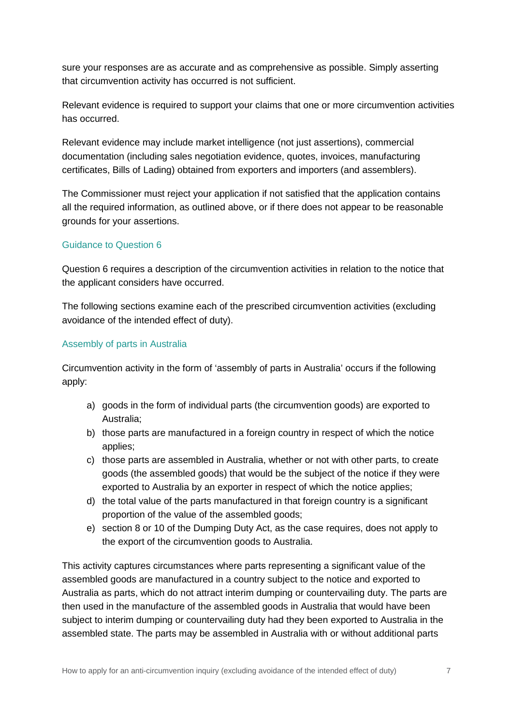sure your responses are as accurate and as comprehensive as possible. Simply asserting that circumvention activity has occurred is not sufficient.

Relevant evidence is required to support your claims that one or more circumvention activities has occurred.

Relevant evidence may include market intelligence (not just assertions), commercial documentation (including sales negotiation evidence, quotes, invoices, manufacturing certificates, Bills of Lading) obtained from exporters and importers (and assemblers).

The Commissioner must reject your application if not satisfied that the application contains all the required information, as outlined above, or if there does not appear to be reasonable grounds for your assertions.

#### <span id="page-6-0"></span>Guidance to Question 6

Question 6 requires a description of the circumvention activities in relation to the notice that the applicant considers have occurred.

The following sections examine each of the prescribed circumvention activities (excluding avoidance of the intended effect of duty).

#### <span id="page-6-1"></span>Assembly of parts in Australia

Circumvention activity in the form of 'assembly of parts in Australia' occurs if the following apply:

- a) goods in the form of individual parts (the circumvention goods) are exported to Australia;
- b) those parts are manufactured in a foreign country in respect of which the notice applies;
- c) those parts are assembled in Australia, whether or not with other parts, to create goods (the assembled goods) that would be the subject of the notice if they were exported to Australia by an exporter in respect of which the notice applies;
- d) the total value of the parts manufactured in that foreign country is a significant proportion of the value of the assembled goods;
- e) section 8 or 10 of the [Dumping Duty Act](https://www.legislation.gov.au/Details/C2016C00716), as the case requires, does not apply to the export of the circumvention goods to Australia.

This activity captures circumstances where parts representing a significant value of the assembled goods are manufactured in a country subject to the notice and exported to Australia as parts, which do not attract interim dumping or countervailing duty. The parts are then used in the manufacture of the assembled goods in Australia that would have been subject to interim dumping or countervailing duty had they been exported to Australia in the assembled state. The parts may be assembled in Australia with or without additional parts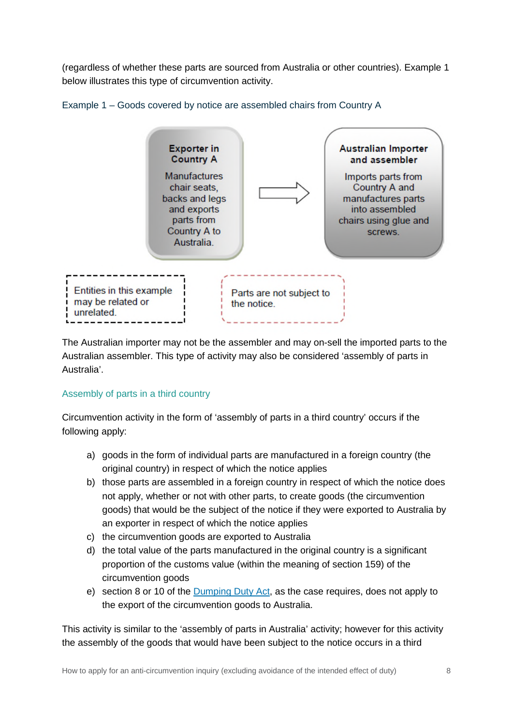(regardless of whether these parts are sourced from Australia or other countries). Example 1 below illustrates this type of circumvention activity.



Example 1 – Goods covered by notice are assembled chairs from Country A

The Australian importer may not be the assembler and may on-sell the imported parts to the Australian assembler. This type of activity may also be considered 'assembly of parts in Australia'.

#### <span id="page-7-0"></span>Assembly of parts in a third country

Circumvention activity in the form of 'assembly of parts in a third country' occurs if the following apply:

- a) goods in the form of individual parts are manufactured in a foreign country (the original country) in respect of which the notice applies
- b) those parts are assembled in a foreign country in respect of which the notice does not apply, whether or not with other parts, to create goods (the circumvention goods) that would be the subject of the notice if they were exported to Australia by an exporter in respect of which the notice applies
- c) the circumvention goods are exported to Australia
- d) the total value of the parts manufactured in the original country is a significant proportion of the customs value (within the meaning of section 159) of the circumvention goods
- e) section 8 or 10 of the [Dumping Duty Act](https://www.legislation.gov.au/Details/C2016C00716), as the case requires, does not apply to the export of the circumvention goods to Australia.

This activity is similar to the 'assembly of parts in Australia' activity; however for this activity the assembly of the goods that would have been subject to the notice occurs in a third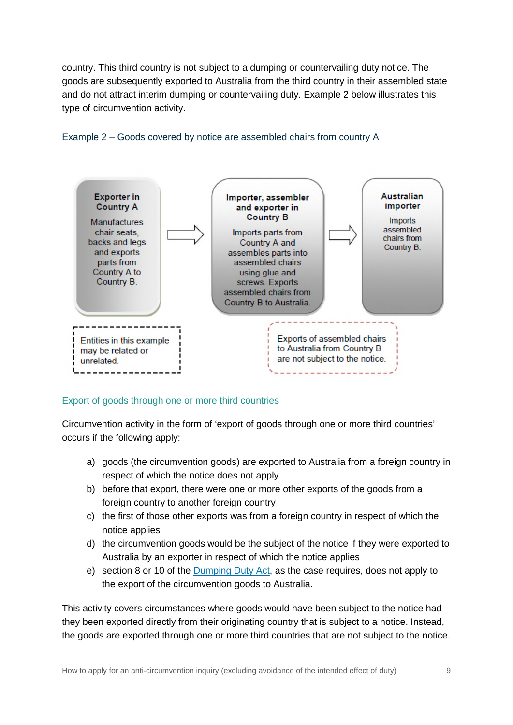country. This third country is not subject to a dumping or countervailing duty notice. The goods are subsequently exported to Australia from the third country in their assembled state and do not attract interim dumping or countervailing duty. Example 2 below illustrates this type of circumvention activity.



#### Example 2 – Goods covered by notice are assembled chairs from country A

#### <span id="page-8-0"></span>Export of goods through one or more third countries

Circumvention activity in the form of 'export of goods through one or more third countries' occurs if the following apply:

- a) goods (the circumvention goods) are exported to Australia from a foreign country in respect of which the notice does not apply
- b) before that export, there were one or more other exports of the goods from a foreign country to another foreign country
- c) the first of those other exports was from a foreign country in respect of which the notice applies
- d) the circumvention goods would be the subject of the notice if they were exported to Australia by an exporter in respect of which the notice applies
- e) section 8 or 10 of the [Dumping Duty Act](https://www.legislation.gov.au/Details/C2016C00716), as the case requires, does not apply to the export of the circumvention goods to Australia.

This activity covers circumstances where goods would have been subject to the notice had they been exported directly from their originating country that is subject to a notice. Instead, the goods are exported through one or more third countries that are not subject to the notice.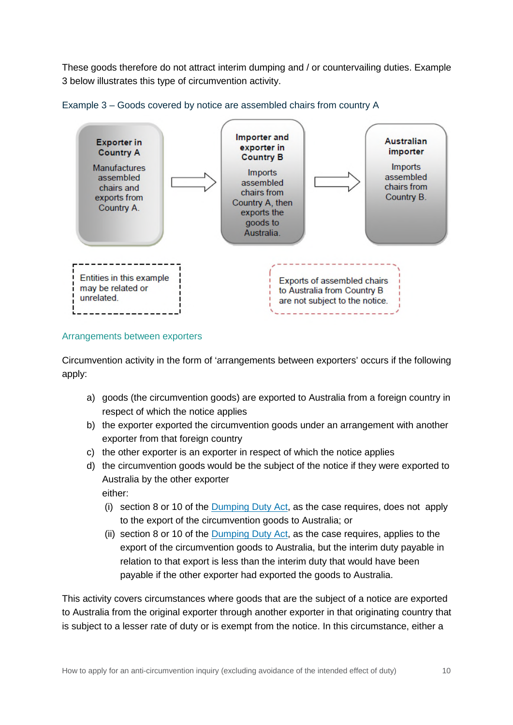These goods therefore do not attract interim dumping and / or countervailing duties. Example 3 below illustrates this type of circumvention activity.





#### <span id="page-9-0"></span>Arrangements between exporters

Circumvention activity in the form of 'arrangements between exporters' occurs if the following apply:

- a) goods (the circumvention goods) are exported to Australia from a foreign country in respect of which the notice applies
- b) the exporter exported the circumvention goods under an arrangement with another exporter from that foreign country
- c) the other exporter is an exporter in respect of which the notice applies
- d) the circumvention goods would be the subject of the notice if they were exported to Australia by the other exporter either:
	- (i) section 8 or 10 of the [Dumping Duty Act](https://www.legislation.gov.au/Details/C2016C00716), as the case requires, does not apply to the export of the circumvention goods to Australia; or
	- (ii) section 8 or 10 of the [Dumping Duty Act](https://www.legislation.gov.au/Details/C2016C00716), as the case requires, applies to the export of the circumvention goods to Australia, but the interim duty payable in relation to that export is less than the interim duty that would have been payable if the other exporter had exported the goods to Australia.

This activity covers circumstances where goods that are the subject of a notice are exported to Australia from the original exporter through another exporter in that originating country that is subject to a lesser rate of duty or is exempt from the notice. In this circumstance, either a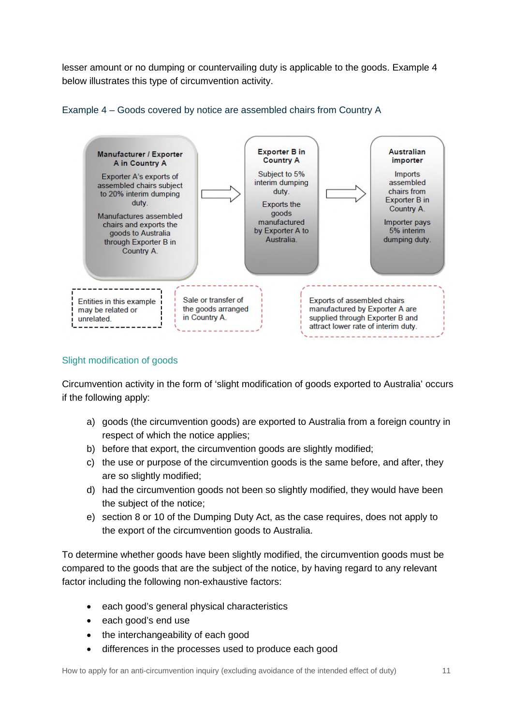lesser amount or no dumping or countervailing duty is applicable to the goods. Example 4 below illustrates this type of circumvention activity.





#### <span id="page-10-0"></span>Slight modification of goods

Circumvention activity in the form of 'slight modification of goods exported to Australia' occurs if the following apply:

- a) goods (the circumvention goods) are exported to Australia from a foreign country in respect of which the notice applies;
- b) before that export, the circumvention goods are slightly modified;
- c) the use or purpose of the circumvention goods is the same before, and after, they are so slightly modified;
- d) had the circumvention goods not been so slightly modified, they would have been the subject of the notice;
- e) section 8 or 10 of the [Dumping Duty Act](https://www.legislation.gov.au/Details/C2016C00716), as the case requires, does not apply to the export of the circumvention goods to Australia.

To determine whether goods have been slightly modified, the circumvention goods must be compared to the goods that are the subject of the notice, by having regard to any relevant factor including the following non-exhaustive factors:

- each good's general physical characteristics
- each good's end use
- the interchangeability of each good
- differences in the processes used to produce each good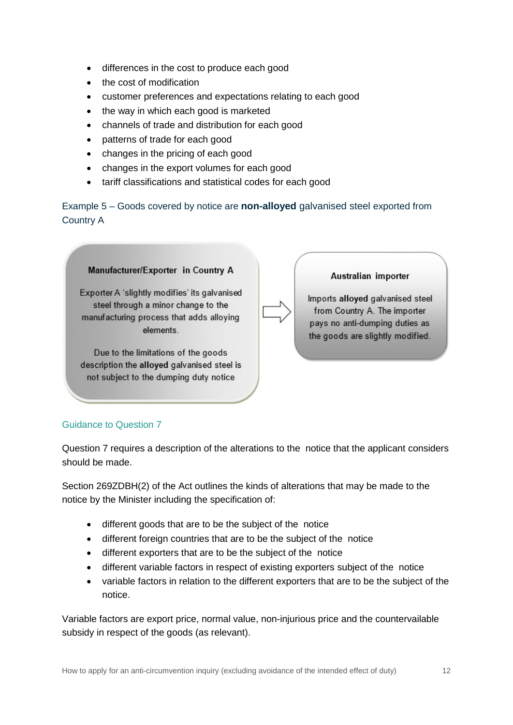- differences in the cost to produce each good
- the cost of modification
- customer preferences and expectations relating to each good
- the way in which each good is marketed
- channels of trade and distribution for each good
- patterns of trade for each good
- changes in the pricing of each good
- changes in the export volumes for each good
- tariff classifications and statistical codes for each good

Example 5 – Goods covered by notice are **non-alloyed** galvanised steel exported from Country A

#### Manufacturer/Exporter in Country A

Exporter A 'slightly modifies' its galvanised steel through a minor change to the manufacturing process that adds alloying elements

Due to the limitations of the goods description the alloyed galvanised steel is not subject to the dumping duty notice

Australian importer

Imports alloyed galvanised steel from Country A. The importer pays no anti-dumping duties as the goods are slightly modified.

#### <span id="page-11-0"></span>Guidance to Question 7

Question 7 requires a description of the alterations to the notice that the applicant considers should be made.

Section 269ZDBH(2) of the Act outlines the kinds of alterations that may be made to the notice by the Minister including the specification of:

- different goods that are to be the subject of the notice
- different foreign countries that are to be the subject of the notice
- different exporters that are to be the subject of the notice
- different variable factors in respect of existing exporters subject of the notice
- variable factors in relation to the different exporters that are to be the subject of the notice.

Variable factors are export price, normal value, non-injurious price and the countervailable subsidy in respect of the goods (as relevant).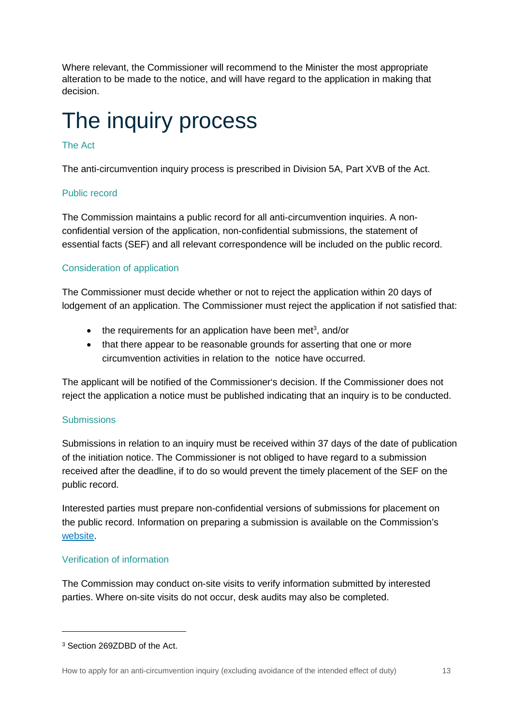Where relevant, the Commissioner will recommend to the Minister the most appropriate alteration to be made to the notice, and will have regard to the application in making that decision.

### <span id="page-12-0"></span>The inquiry process

#### <span id="page-12-1"></span>The Act

The anti-circumvention inquiry process is prescribed in Division 5A, Part XVB of the Act.

#### <span id="page-12-2"></span>Public record

The Commission maintains a public record for all anti-circumvention inquiries. A nonconfidential version of the application, non-confidential submissions, the statement of essential facts (SEF) and all relevant correspondence will be included on the public record.

#### <span id="page-12-3"></span>Consideration of application

The Commissioner must decide whether or not to reject the application within 20 days of lodgement of an application. The Commissioner must reject the application if not satisfied that:

- $\bullet$  the requirements for an application have been met<sup>[3](#page-12-6)</sup>, and/or
- that there appear to be reasonable grounds for asserting that one or more circumvention activities in relation to the notice have occurred.

The applicant will be notified of the Commissioner's decision. If the Commissioner does not reject the application a notice must be published indicating that an inquiry is to be conducted.

#### <span id="page-12-4"></span>**Submissions**

Submissions in relation to an inquiry must be received within 37 days of the date of publication of the initiation notice. The Commissioner is not obliged to have regard to a submission received after the deadline, if to do so would prevent the timely placement of the SEF on the public record.

Interested parties must prepare non-confidential versions of submissions for placement on the public record. Information on preparing a submission is available on the Commission's [website](https://www.industry.gov.au/regulations-and-standards/anti-dumping-and-countervailing-system/submissions-to-an-anti-dumping-or-countervailing-case).

#### <span id="page-12-5"></span>Verification of information

The Commission may conduct on-site visits to verify information submitted by interested parties. Where on-site visits do not occur, desk audits may also be completed.

<span id="page-12-6"></span><sup>3</sup> Section 269ZDBD of the Act.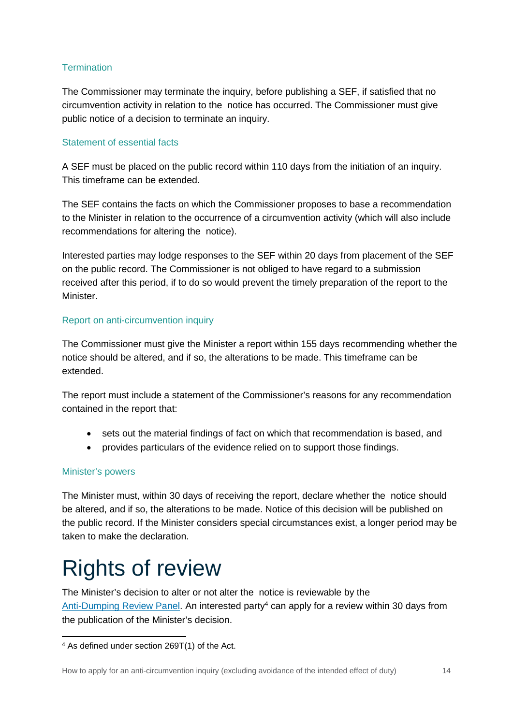#### <span id="page-13-0"></span>**Termination**

The Commissioner may terminate the inquiry, before publishing a SEF, if satisfied that no circumvention activity in relation to the notice has occurred. The Commissioner must give public notice of a decision to terminate an inquiry.

#### <span id="page-13-1"></span>Statement of essential facts

A SEF must be placed on the public record within 110 days from the initiation of an inquiry. This timeframe can be extended.

The SEF contains the facts on which the Commissioner proposes to base a recommendation to the Minister in relation to the occurrence of a circumvention activity (which will also include recommendations for altering the notice).

Interested parties may lodge responses to the SEF within 20 days from placement of the SEF on the public record. The Commissioner is not obliged to have regard to a submission received after this period, if to do so would prevent the timely preparation of the report to the Minister.

#### <span id="page-13-2"></span>Report on anti-circumvention inquiry

The Commissioner must give the Minister a report within 155 days recommending whether the notice should be altered, and if so, the alterations to be made. This timeframe can be extended.

The report must include a statement of the Commissioner's reasons for any recommendation contained in the report that:

- sets out the material findings of fact on which that recommendation is based, and
- provides particulars of the evidence relied on to support those findings.

#### <span id="page-13-3"></span>Minister's powers

The Minister must, within 30 days of receiving the report, declare whether the notice should be altered, and if so, the alterations to be made. Notice of this decision will be published on the public record. If the Minister considers special circumstances exist, a longer period may be taken to make the declaration.

### <span id="page-13-4"></span>Rights of review

The Minister's decision to alter or not alter the notice is reviewable by the [Anti-Dumping Review Panel.](https://www.industry.gov.au/about-us/our-structure/anti-dumping-review-panel) An interested party<sup>[4](#page-13-5)</sup> can apply for a review within 30 days from the publication of the Minister's decision.

<span id="page-13-5"></span><sup>4</sup> As defined under section 269T(1) of the Act.